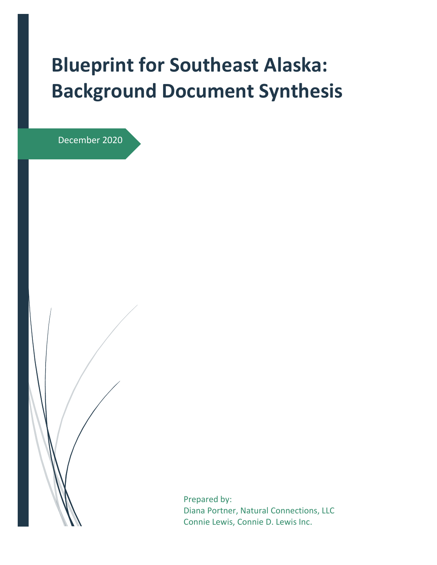# **Blueprint for Southeast Alaska: Background Document Synthesis**

December 2020

Prepared by: Diana Portner, Natural Connections, LLC Connie Lewis, Connie D. Lewis Inc.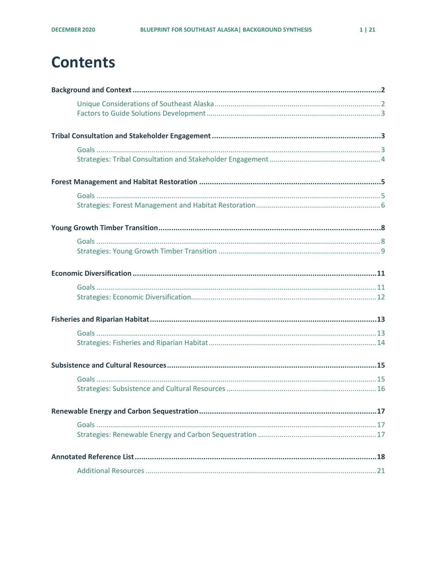## **Contents**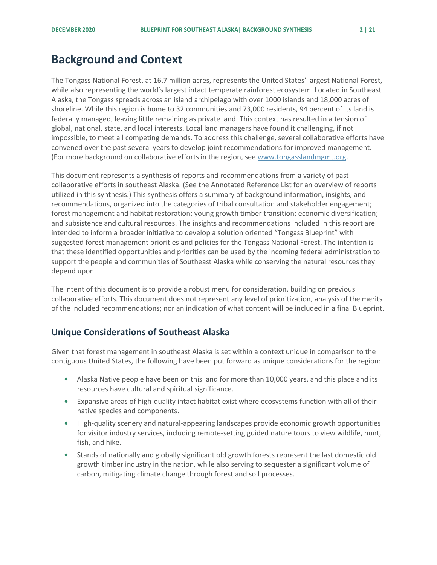### <span id="page-2-0"></span>**Background and Context**

The Tongass National Forest, at 16.7 million acres, represents the United States' largest National Forest, while also representing the world's largest intact temperate rainforest ecosystem. Located in Southeast Alaska, the Tongass spreads across an island archipelago with over 1000 islands and 18,000 acres of shoreline. While this region is home to 32 communities and 73,000 residents, 94 percent of its land is federally managed, leaving little remaining as private land. This context has resulted in a tension of global, national, state, and local interests. Local land managers have found it challenging, if not impossible, to meet all competing demands. To address this challenge, several collaborative efforts have convened over the past several years to develop joint recommendations for improved management. (For more background on collaborative efforts in the region, see [www.tongasslandmgmt.org.](http://www.tongasslandmgmt.org/)

This document represents a synthesis of reports and recommendations from a variety of past collaborative efforts in southeast Alaska. (See the Annotated Reference List for an overview of reports utilized in this synthesis.) This synthesis offers a summary of background information, insights, and recommendations, organized into the categories of tribal consultation and stakeholder engagement; forest management and habitat restoration; young growth timber transition; economic diversification; and subsistence and cultural resources. The insights and recommendations included in this report are intended to inform a broader initiative to develop a solution oriented "Tongass Blueprint" with suggested forest management priorities and policies for the Tongass National Forest. The intention is that these identified opportunities and priorities can be used by the incoming federal administration to support the people and communities of Southeast Alaska while conserving the natural resources they depend upon.

The intent of this document is to provide a robust menu for consideration, building on previous collaborative efforts. This document does not represent any level of prioritization, analysis of the merits of the included recommendations; nor an indication of what content will be included in a final Blueprint.

#### <span id="page-2-1"></span>**Unique Considerations of Southeast Alaska**

Given that forest management in southeast Alaska is set within a context unique in comparison to the contiguous United States, the following have been put forward as unique considerations for the region:

- **•** Alaska Native people have been on this land for more than 10,000 years, and this place and its resources have cultural and spiritual significance.
- **•** Expansive areas of high-quality intact habitat exist where ecosystems function with all of their native species and components.
- **•** High-quality scenery and natural-appearing landscapes provide economic growth opportunities for visitor industry services, including remote-setting guided nature tours to view wildlife, hunt, fish, and hike.
- **•** Stands of nationally and globally significant old growth forests represent the last domestic old growth timber industry in the nation, while also serving to sequester a significant volume of carbon, mitigating climate change through forest and soil processes.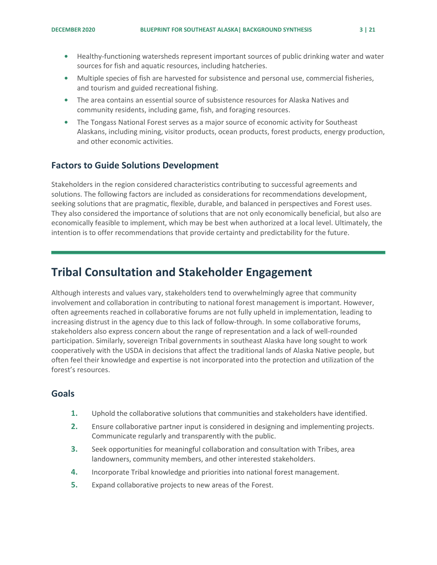- **•** Healthy-functioning watersheds represent important sources of public drinking water and water sources for fish and aquatic resources, including hatcheries.
- **•** Multiple species of fish are harvested for subsistence and personal use, commercial fisheries, and tourism and guided recreational fishing.
- **•** The area contains an essential source of subsistence resources for Alaska Natives and community residents, including game, fish, and foraging resources.
- **•** The Tongass National Forest serves as a major source of economic activity for Southeast Alaskans, including mining, visitor products, ocean products, forest products, energy production, and other economic activities.

### <span id="page-3-0"></span>**Factors to Guide Solutions Development**

Stakeholders in the region considered characteristics contributing to successful agreements and solutions. The following factors are included as considerations for recommendations development, seeking solutions that are pragmatic, flexible, durable, and balanced in perspectives and Forest uses. They also considered the importance of solutions that are not only economically beneficial, but also are economically feasible to implement, which may be best when authorized at a local level. Ultimately, the intention is to offer recommendations that provide certainty and predictability for the future.

### <span id="page-3-1"></span>**Tribal Consultation and Stakeholder Engagement**

Although interests and values vary, stakeholders tend to overwhelmingly agree that community involvement and collaboration in contributing to national forest management is important. However, often agreements reached in collaborative forums are not fully upheld in implementation, leading to increasing distrust in the agency due to this lack of follow-through. In some collaborative forums, stakeholders also express concern about the range of representation and a lack of well-rounded participation. Similarly, sovereign Tribal governments in southeast Alaska have long sought to work cooperatively with the USDA in decisions that affect the traditional lands of Alaska Native people, but often feel their knowledge and expertise is not incorporated into the protection and utilization of the forest's resources.

- <span id="page-3-2"></span>**1.** Uphold the collaborative solutions that communities and stakeholders have identified.
- **2.** Ensure collaborative partner input is considered in designing and implementing projects. Communicate regularly and transparently with the public.
- **3.** Seek opportunities for meaningful collaboration and consultation with Tribes, area landowners, community members, and other interested stakeholders.
- **4.** Incorporate Tribal knowledge and priorities into national forest management.
- **5.** Expand collaborative projects to new areas of the Forest.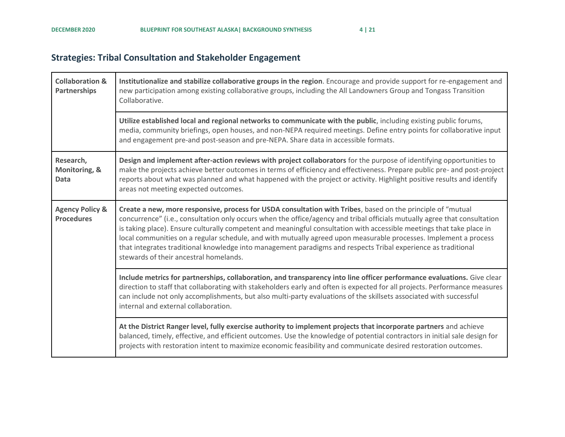### **Strategies: Tribal Consultation and Stakeholder Engagement**

<span id="page-4-0"></span>

| <b>Collaboration &amp;</b><br><b>Partnerships</b> | Institutionalize and stabilize collaborative groups in the region. Encourage and provide support for re-engagement and<br>new participation among existing collaborative groups, including the All Landowners Group and Tongass Transition<br>Collaborative.                                                                                                                                                                                                                                                                                                                                                                                     |
|---------------------------------------------------|--------------------------------------------------------------------------------------------------------------------------------------------------------------------------------------------------------------------------------------------------------------------------------------------------------------------------------------------------------------------------------------------------------------------------------------------------------------------------------------------------------------------------------------------------------------------------------------------------------------------------------------------------|
|                                                   | Utilize established local and regional networks to communicate with the public, including existing public forums,<br>media, community briefings, open houses, and non-NEPA required meetings. Define entry points for collaborative input<br>and engagement pre-and post-season and pre-NEPA. Share data in accessible formats.                                                                                                                                                                                                                                                                                                                  |
| Research,<br>Monitoring, &<br><b>Data</b>         | Design and implement after-action reviews with project collaborators for the purpose of identifying opportunities to<br>make the projects achieve better outcomes in terms of efficiency and effectiveness. Prepare public pre- and post-project<br>reports about what was planned and what happened with the project or activity. Highlight positive results and identify<br>areas not meeting expected outcomes.                                                                                                                                                                                                                               |
| <b>Agency Policy &amp;</b><br><b>Procedures</b>   | Create a new, more responsive, process for USDA consultation with Tribes, based on the principle of "mutual<br>concurrence" (i.e., consultation only occurs when the office/agency and tribal officials mutually agree that consultation<br>is taking place). Ensure culturally competent and meaningful consultation with accessible meetings that take place in<br>local communities on a regular schedule, and with mutually agreed upon measurable processes. Implement a process<br>that integrates traditional knowledge into management paradigms and respects Tribal experience as traditional<br>stewards of their ancestral homelands. |
|                                                   | Include metrics for partnerships, collaboration, and transparency into line officer performance evaluations. Give clear<br>direction to staff that collaborating with stakeholders early and often is expected for all projects. Performance measures<br>can include not only accomplishments, but also multi-party evaluations of the skillsets associated with successful<br>internal and external collaboration.                                                                                                                                                                                                                              |
|                                                   | At the District Ranger level, fully exercise authority to implement projects that incorporate partners and achieve<br>balanced, timely, effective, and efficient outcomes. Use the knowledge of potential contractors in initial sale design for<br>projects with restoration intent to maximize economic feasibility and communicate desired restoration outcomes.                                                                                                                                                                                                                                                                              |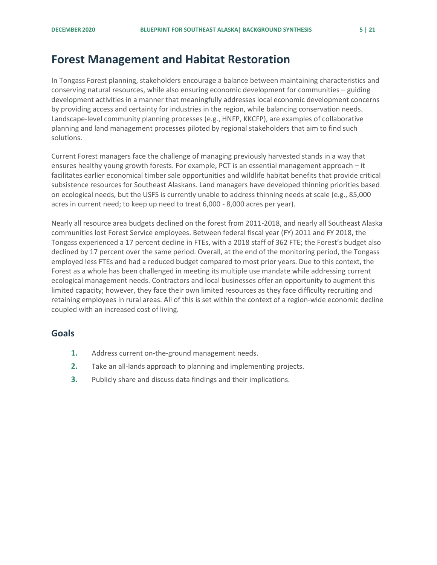### <span id="page-5-0"></span>**Forest Management and Habitat Restoration**

In Tongass Forest planning, stakeholders encourage a balance between maintaining characteristics and conserving natural resources, while also ensuring economic development for communities – guiding development activities in a manner that meaningfully addresses local economic development concerns by providing access and certainty for industries in the region, while balancing conservation needs. Landscape-level community planning processes (e.g., HNFP, KKCFP), are examples of collaborative planning and land management processes piloted by regional stakeholders that aim to find such solutions.

Current Forest managers face the challenge of managing previously harvested stands in a way that ensures healthy young growth forests. For example, PCT is an essential management approach – it facilitates earlier economical timber sale opportunities and wildlife habitat benefits that provide critical subsistence resources for Southeast Alaskans. Land managers have developed thinning priorities based on ecological needs, but the USFS is currently unable to address thinning needs at scale (e.g., 85,000 acres in current need; to keep up need to treat 6,000 - 8,000 acres per year).

Nearly all resource area budgets declined on the forest from 2011-2018, and nearly all Southeast Alaska communities lost Forest Service employees. Between federal fiscal year (FY) 2011 and FY 2018, the Tongass experienced a 17 percent decline in FTEs, with a 2018 staff of 362 FTE; the Forest's budget also declined by 17 percent over the same period. Overall, at the end of the monitoring period, the Tongass employed less FTEs and had a reduced budget compared to most prior years. Due to this context, the Forest as a whole has been challenged in meeting its multiple use mandate while addressing current ecological management needs. Contractors and local businesses offer an opportunity to augment this limited capacity; however, they face their own limited resources as they face difficulty recruiting and retaining employees in rural areas. All of this is set within the context of a region-wide economic decline coupled with an increased cost of living.

- <span id="page-5-1"></span>**1.** Address current on-the-ground management needs.
- **2.** Take an all-lands approach to planning and implementing projects.
- **3.** Publicly share and discuss data findings and their implications.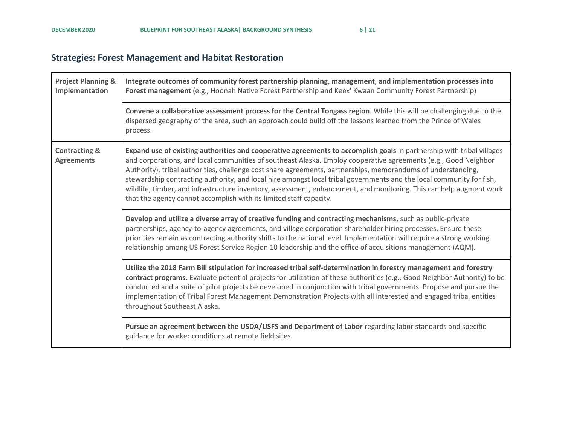### **Strategies: Forest Management and Habitat Restoration**

<span id="page-6-0"></span>

| <b>Project Planning &amp;</b><br>Implementation | Integrate outcomes of community forest partnership planning, management, and implementation processes into<br>Forest management (e.g., Hoonah Native Forest Partnership and Keex' Kwaan Community Forest Partnership)                                                                                                                                                                                                                                                                                                                                                                                                                                                         |
|-------------------------------------------------|-------------------------------------------------------------------------------------------------------------------------------------------------------------------------------------------------------------------------------------------------------------------------------------------------------------------------------------------------------------------------------------------------------------------------------------------------------------------------------------------------------------------------------------------------------------------------------------------------------------------------------------------------------------------------------|
|                                                 | Convene a collaborative assessment process for the Central Tongass region. While this will be challenging due to the<br>dispersed geography of the area, such an approach could build off the lessons learned from the Prince of Wales<br>process.                                                                                                                                                                                                                                                                                                                                                                                                                            |
| <b>Contracting &amp;</b><br><b>Agreements</b>   | Expand use of existing authorities and cooperative agreements to accomplish goals in partnership with tribal villages<br>and corporations, and local communities of southeast Alaska. Employ cooperative agreements (e.g., Good Neighbor<br>Authority), tribal authorities, challenge cost share agreements, partnerships, memorandums of understanding,<br>stewardship contracting authority, and local hire amongst local tribal governments and the local community for fish,<br>wildlife, timber, and infrastructure inventory, assessment, enhancement, and monitoring. This can help augment work<br>that the agency cannot accomplish with its limited staff capacity. |
|                                                 | Develop and utilize a diverse array of creative funding and contracting mechanisms, such as public-private<br>partnerships, agency-to-agency agreements, and village corporation shareholder hiring processes. Ensure these<br>priorities remain as contracting authority shifts to the national level. Implementation will require a strong working<br>relationship among US Forest Service Region 10 leadership and the office of acquisitions management (AQM).                                                                                                                                                                                                            |
|                                                 | Utilize the 2018 Farm Bill stipulation for increased tribal self-determination in forestry management and forestry<br>contract programs. Evaluate potential projects for utilization of these authorities (e.g., Good Neighbor Authority) to be<br>conducted and a suite of pilot projects be developed in conjunction with tribal governments. Propose and pursue the<br>implementation of Tribal Forest Management Demonstration Projects with all interested and engaged tribal entities<br>throughout Southeast Alaska.                                                                                                                                                   |
|                                                 | Pursue an agreement between the USDA/USFS and Department of Labor regarding labor standards and specific<br>guidance for worker conditions at remote field sites.                                                                                                                                                                                                                                                                                                                                                                                                                                                                                                             |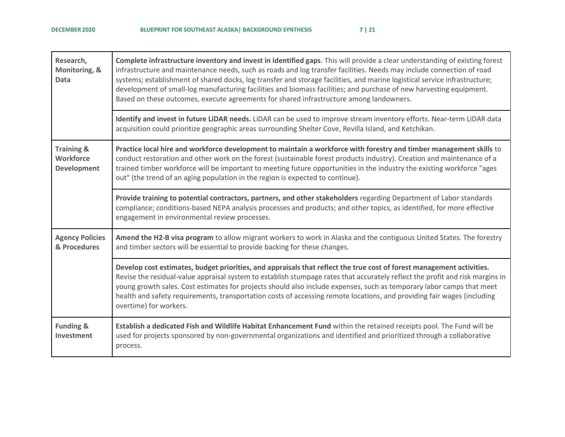| Research,<br>Monitoring, &<br><b>Data</b>                       | Complete infrastructure inventory and invest in identified gaps. This will provide a clear understanding of existing forest<br>infrastructure and maintenance needs, such as roads and log transfer facilities. Needs may include connection of road<br>systems; establishment of shared docks, log transfer and storage facilities, and marine logistical service infrastructure;<br>development of small-log manufacturing facilities and biomass facilities; and purchase of new harvesting equipment.<br>Based on these outcomes, execute agreements for shared infrastructure among landowners. |
|-----------------------------------------------------------------|------------------------------------------------------------------------------------------------------------------------------------------------------------------------------------------------------------------------------------------------------------------------------------------------------------------------------------------------------------------------------------------------------------------------------------------------------------------------------------------------------------------------------------------------------------------------------------------------------|
|                                                                 | Identify and invest in future LiDAR needs. LiDAR can be used to improve stream inventory efforts. Near-term LiDAR data<br>acquisition could prioritize geographic areas surrounding Shelter Cove, Revilla Island, and Ketchikan.                                                                                                                                                                                                                                                                                                                                                                     |
| <b>Training &amp;</b><br><b>Workforce</b><br><b>Development</b> | Practice local hire and workforce development to maintain a workforce with forestry and timber management skills to<br>conduct restoration and other work on the forest (sustainable forest products industry). Creation and maintenance of a<br>trained timber workforce will be important to meeting future opportunities in the industry the existing workforce "ages<br>out" (the trend of an aging population in the region is expected to continue).                                                                                                                                           |
|                                                                 | Provide training to potential contractors, partners, and other stakeholders regarding Department of Labor standards<br>compliance; conditions-based NEPA analysis processes and products; and other topics, as identified, for more effective<br>engagement in environmental review processes.                                                                                                                                                                                                                                                                                                       |
| <b>Agency Policies</b><br>& Procedures                          | Amend the H2-B visa program to allow migrant workers to work in Alaska and the contiguous United States. The forestry<br>and timber sectors will be essential to provide backing for these changes.                                                                                                                                                                                                                                                                                                                                                                                                  |
|                                                                 | Develop cost estimates, budget priorities, and appraisals that reflect the true cost of forest management activities.<br>Revise the residual-value appraisal system to establish stumpage rates that accurately reflect the profit and risk margins in<br>young growth sales. Cost estimates for projects should also include expenses, such as temporary labor camps that meet<br>health and safety requirements, transportation costs of accessing remote locations, and providing fair wages (including<br>overtime) for workers.                                                                 |
| <b>Funding &amp;</b><br>Investment                              | Establish a dedicated Fish and Wildlife Habitat Enhancement Fund within the retained receipts pool. The Fund will be<br>used for projects sponsored by non-governmental organizations and identified and prioritized through a collaborative<br>process.                                                                                                                                                                                                                                                                                                                                             |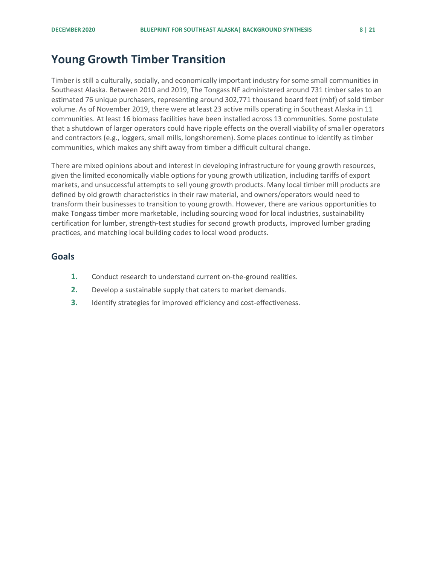### <span id="page-8-0"></span>**Young Growth Timber Transition**

Timber is still a culturally, socially, and economically important industry for some small communities in Southeast Alaska. Between 2010 and 2019, The Tongass NF administered around 731 timber sales to an estimated 76 unique purchasers, representing around 302,771 thousand board feet (mbf) of sold timber volume. As of November 2019, there were at least 23 active mills operating in Southeast Alaska in 11 communities. At least 16 biomass facilities have been installed across 13 communities. Some postulate that a shutdown of larger operators could have ripple effects on the overall viability of smaller operators and contractors (e.g., loggers, small mills, longshoremen). Some places continue to identify as timber communities, which makes any shift away from timber a difficult cultural change.

There are mixed opinions about and interest in developing infrastructure for young growth resources, given the limited economically viable options for young growth utilization, including tariffs of export markets, and unsuccessful attempts to sell young growth products. Many local timber mill products are defined by old growth characteristics in their raw material, and owners/operators would need to transform their businesses to transition to young growth. However, there are various opportunities to make Tongass timber more marketable, including sourcing wood for local industries, sustainability certification for lumber, strength-test studies for second growth products, improved lumber grading practices, and matching local building codes to local wood products.

- <span id="page-8-1"></span>**1.** Conduct research to understand current on-the-ground realities.
- **2.** Develop a sustainable supply that caters to market demands.
- **3.** Identify strategies for improved efficiency and cost-effectiveness.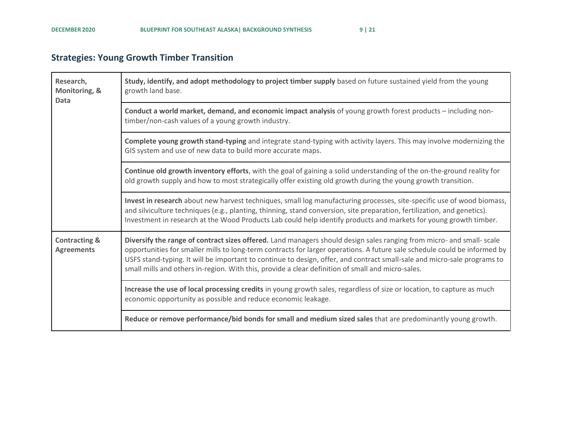### **Strategies: Young Growth Timber Transition**

<span id="page-9-0"></span>

| Research,<br>Monitoring, &<br><b>Data</b>     | Study, identify, and adopt methodology to project timber supply based on future sustained yield from the young<br>growth land base.                                                                                                                                                                                                                                                                                                                                                 |
|-----------------------------------------------|-------------------------------------------------------------------------------------------------------------------------------------------------------------------------------------------------------------------------------------------------------------------------------------------------------------------------------------------------------------------------------------------------------------------------------------------------------------------------------------|
|                                               | Conduct a world market, demand, and economic impact analysis of young growth forest products - including non-<br>timber/non-cash values of a young growth industry.                                                                                                                                                                                                                                                                                                                 |
|                                               | Complete young growth stand-typing and integrate stand-typing with activity layers. This may involve modernizing the<br>GIS system and use of new data to build more accurate maps.                                                                                                                                                                                                                                                                                                 |
|                                               | Continue old growth inventory efforts, with the goal of gaining a solid understanding of the on-the-ground reality for<br>old growth supply and how to most strategically offer existing old growth during the young growth transition.                                                                                                                                                                                                                                             |
|                                               | Invest in research about new harvest techniques, small log manufacturing processes, site-specific use of wood biomass,<br>and silviculture techniques (e.g., planting, thinning, stand conversion, site preparation, fertilization, and genetics).<br>Investment in research at the Wood Products Lab could help identify products and markets for young growth timber.                                                                                                             |
| <b>Contracting &amp;</b><br><b>Agreements</b> | Diversify the range of contract sizes offered. Land managers should design sales ranging from micro- and small- scale<br>opportunities for smaller mills to long-term contracts for larger operations. A future sale schedule could be informed by<br>USFS stand-typing. It will be important to continue to design, offer, and contract small-sale and micro-sale programs to<br>small mills and others in-region. With this, provide a clear definition of small and micro-sales. |
|                                               | Increase the use of local processing credits in young growth sales, regardless of size or location, to capture as much<br>economic opportunity as possible and reduce economic leakage.                                                                                                                                                                                                                                                                                             |
|                                               | Reduce or remove performance/bid bonds for small and medium sized sales that are predominantly young growth.                                                                                                                                                                                                                                                                                                                                                                        |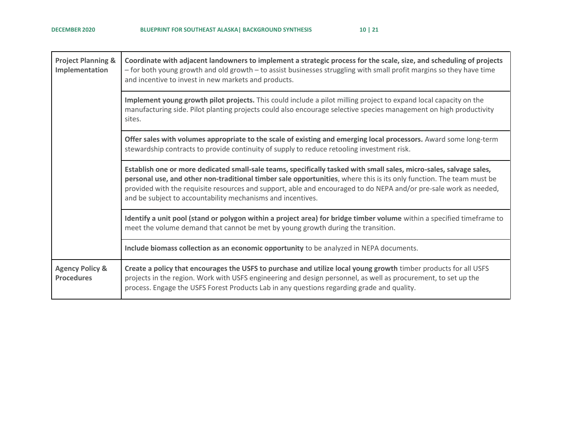| <b>Project Planning &amp;</b><br>Implementation | Coordinate with adjacent landowners to implement a strategic process for the scale, size, and scheduling of projects<br>- for both young growth and old growth - to assist businesses struggling with small profit margins so they have time<br>and incentive to invest in new markets and products.                                                                                                                            |
|-------------------------------------------------|---------------------------------------------------------------------------------------------------------------------------------------------------------------------------------------------------------------------------------------------------------------------------------------------------------------------------------------------------------------------------------------------------------------------------------|
|                                                 | Implement young growth pilot projects. This could include a pilot milling project to expand local capacity on the<br>manufacturing side. Pilot planting projects could also encourage selective species management on high productivity<br>sites.                                                                                                                                                                               |
|                                                 | Offer sales with volumes appropriate to the scale of existing and emerging local processors. Award some long-term<br>stewardship contracts to provide continuity of supply to reduce retooling investment risk.                                                                                                                                                                                                                 |
|                                                 | Establish one or more dedicated small-sale teams, specifically tasked with small sales, micro-sales, salvage sales,<br>personal use, and other non-traditional timber sale opportunities, where this is its only function. The team must be<br>provided with the requisite resources and support, able and encouraged to do NEPA and/or pre-sale work as needed,<br>and be subject to accountability mechanisms and incentives. |
|                                                 | Identify a unit pool (stand or polygon within a project area) for bridge timber volume within a specified timeframe to<br>meet the volume demand that cannot be met by young growth during the transition.                                                                                                                                                                                                                      |
|                                                 | Include biomass collection as an economic opportunity to be analyzed in NEPA documents.                                                                                                                                                                                                                                                                                                                                         |
| <b>Agency Policy &amp;</b><br><b>Procedures</b> | Create a policy that encourages the USFS to purchase and utilize local young growth timber products for all USFS<br>projects in the region. Work with USFS engineering and design personnel, as well as procurement, to set up the<br>process. Engage the USFS Forest Products Lab in any questions regarding grade and quality.                                                                                                |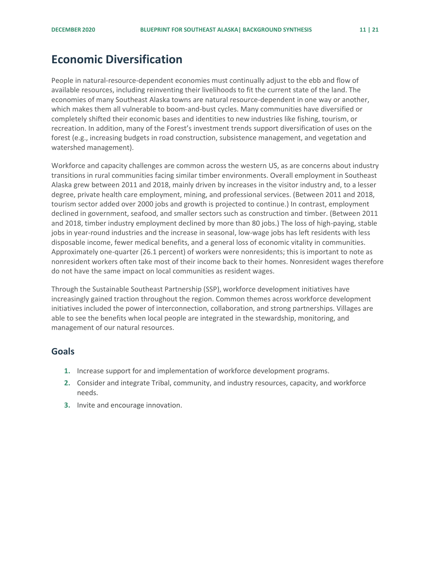### <span id="page-11-0"></span>**Economic Diversification**

People in natural-resource-dependent economies must continually adjust to the ebb and flow of available resources, including reinventing their livelihoods to fit the current state of the land. The economies of many Southeast Alaska towns are natural resource-dependent in one way or another, which makes them all vulnerable to boom-and-bust cycles. Many communities have diversified or completely shifted their economic bases and identities to new industries like fishing, tourism, or recreation. In addition, many of the Forest's investment trends support diversification of uses on the forest (e.g., increasing budgets in road construction, subsistence management, and vegetation and watershed management).

Workforce and capacity challenges are common across the western US, as are concerns about industry transitions in rural communities facing similar timber environments. Overall employment in Southeast Alaska grew between 2011 and 2018, mainly driven by increases in the visitor industry and, to a lesser degree, private health care employment, mining, and professional services. (Between 2011 and 2018, tourism sector added over 2000 jobs and growth is projected to continue.) In contrast, employment declined in government, seafood, and smaller sectors such as construction and timber. (Between 2011 and 2018, timber industry employment declined by more than 80 jobs.) The loss of high-paying, stable jobs in year-round industries and the increase in seasonal, low-wage jobs has left residents with less disposable income, fewer medical benefits, and a general loss of economic vitality in communities. Approximately one-quarter (26.1 percent) of workers were nonresidents; this is important to note as nonresident workers often take most of their income back to their homes. Nonresident wages therefore do not have the same impact on local communities as resident wages.

Through the Sustainable Southeast Partnership (SSP), workforce development initiatives have increasingly gained traction throughout the region. Common themes across workforce development initiatives included the power of interconnection, collaboration, and strong partnerships. Villages are able to see the benefits when local people are integrated in the stewardship, monitoring, and management of our natural resources.

- <span id="page-11-1"></span>**1.** Increase support for and implementation of workforce development programs.
- **2.** Consider and integrate Tribal, community, and industry resources, capacity, and workforce needs.
- **3.** Invite and encourage innovation.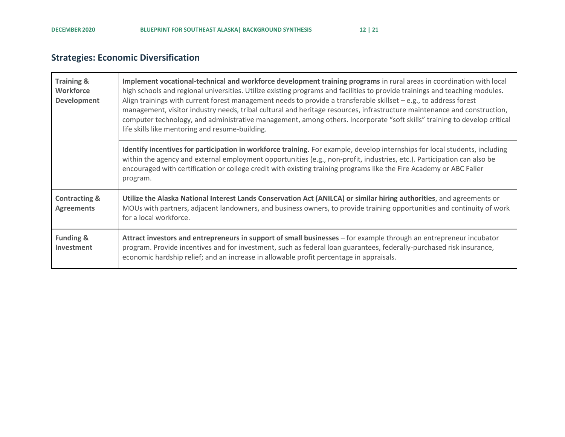### **Strategies: Economic Diversification**

<span id="page-12-0"></span>

| <b>Training &amp;</b><br>Workforce<br><b>Development</b> | Implement vocational-technical and workforce development training programs in rural areas in coordination with local<br>high schools and regional universities. Utilize existing programs and facilities to provide trainings and teaching modules.<br>Align trainings with current forest management needs to provide a transferable skillset $-e.g.,$ to address forest<br>management, visitor industry needs, tribal cultural and heritage resources, infrastructure maintenance and construction,<br>computer technology, and administrative management, among others. Incorporate "soft skills" training to develop critical<br>life skills like mentoring and resume-building. |
|----------------------------------------------------------|--------------------------------------------------------------------------------------------------------------------------------------------------------------------------------------------------------------------------------------------------------------------------------------------------------------------------------------------------------------------------------------------------------------------------------------------------------------------------------------------------------------------------------------------------------------------------------------------------------------------------------------------------------------------------------------|
|                                                          | Identify incentives for participation in workforce training. For example, develop internships for local students, including<br>within the agency and external employment opportunities (e.g., non-profit, industries, etc.). Participation can also be<br>encouraged with certification or college credit with existing training programs like the Fire Academy or ABC Faller<br>program.                                                                                                                                                                                                                                                                                            |
| <b>Contracting &amp;</b><br><b>Agreements</b>            | Utilize the Alaska National Interest Lands Conservation Act (ANILCA) or similar hiring authorities, and agreements or<br>MOUs with partners, adjacent landowners, and business owners, to provide training opportunities and continuity of work<br>for a local workforce.                                                                                                                                                                                                                                                                                                                                                                                                            |
| <b>Funding &amp;</b><br>Investment                       | Attract investors and entrepreneurs in support of small businesses – for example through an entrepreneur incubator<br>program. Provide incentives and for investment, such as federal loan guarantees, federally-purchased risk insurance,<br>economic hardship relief; and an increase in allowable profit percentage in appraisals.                                                                                                                                                                                                                                                                                                                                                |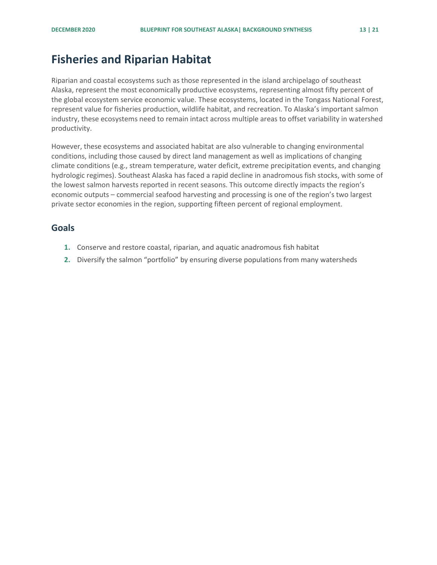### <span id="page-13-0"></span>**Fisheries and Riparian Habitat**

Riparian and coastal ecosystems such as those represented in the island archipelago of southeast Alaska, represent the most economically productive ecosystems, representing almost fifty percent of the global ecosystem service economic value. These ecosystems, located in the Tongass National Forest, represent value for fisheries production, wildlife habitat, and recreation. To Alaska's important salmon industry, these ecosystems need to remain intact across multiple areas to offset variability in watershed productivity.

However, these ecosystems and associated habitat are also vulnerable to changing environmental conditions, including those caused by direct land management as well as implications of changing climate conditions (e.g., stream temperature, water deficit, extreme precipitation events, and changing hydrologic regimes). Southeast Alaska has faced a rapid decline in anadromous fish stocks, with some of the lowest salmon harvests reported in recent seasons. This outcome directly impacts the region's economic outputs – commercial seafood harvesting and processing is one of the region's two largest private sector economies in the region, supporting fifteen percent of regional employment.

- <span id="page-13-1"></span>**1.** Conserve and restore coastal, riparian, and aquatic anadromous fish habitat
- **2.** Diversify the salmon "portfolio" by ensuring diverse populations from many watersheds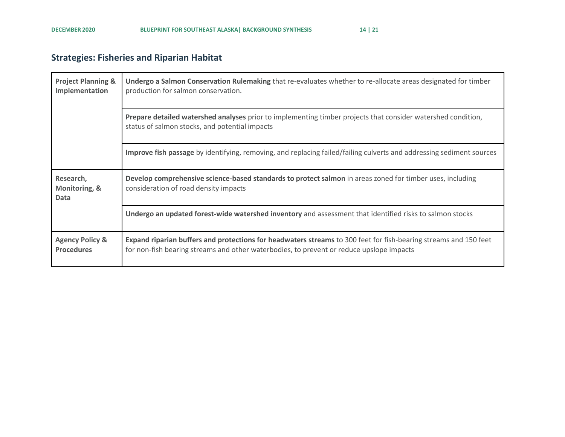### **Strategies: Fisheries and Riparian Habitat**

<span id="page-14-0"></span>

| <b>Project Planning &amp;</b><br>Implementation | Undergo a Salmon Conservation Rulemaking that re-evaluates whether to re-allocate areas designated for timber<br>production for salmon conservation.                                                         |
|-------------------------------------------------|--------------------------------------------------------------------------------------------------------------------------------------------------------------------------------------------------------------|
|                                                 | Prepare detailed watershed analyses prior to implementing timber projects that consider watershed condition,<br>status of salmon stocks, and potential impacts                                               |
|                                                 | Improve fish passage by identifying, removing, and replacing failed/failing culverts and addressing sediment sources                                                                                         |
| Research,<br>Monitoring, &<br>Data              | Develop comprehensive science-based standards to protect salmon in areas zoned for timber uses, including<br>consideration of road density impacts                                                           |
|                                                 | Undergo an updated forest-wide watershed inventory and assessment that identified risks to salmon stocks                                                                                                     |
| <b>Agency Policy &amp;</b><br><b>Procedures</b> | Expand riparian buffers and protections for headwaters streams to 300 feet for fish-bearing streams and 150 feet<br>for non-fish bearing streams and other waterbodies, to prevent or reduce upslope impacts |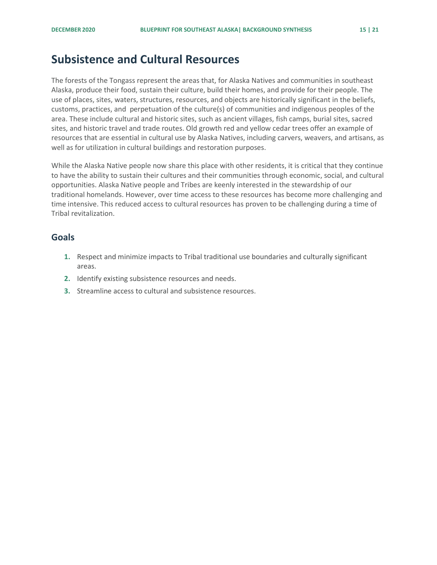### <span id="page-15-0"></span>**Subsistence and Cultural Resources**

The forests of the Tongass represent the areas that, for Alaska Natives and communities in southeast Alaska, produce their food, sustain their culture, build their homes, and provide for their people. The use of places, sites, waters, structures, resources, and objects are historically significant in the beliefs, customs, practices, and perpetuation of the culture(s) of communities and indigenous peoples of the area. These include cultural and historic sites, such as ancient villages, fish camps, burial sites, sacred sites, and historic travel and trade routes. Old growth red and yellow cedar trees offer an example of resources that are essential in cultural use by Alaska Natives, including carvers, weavers, and artisans, as well as for utilization in cultural buildings and restoration purposes.

While the Alaska Native people now share this place with other residents, it is critical that they continue to have the ability to sustain their cultures and their communities through economic, social, and cultural opportunities. Alaska Native people and Tribes are keenly interested in the stewardship of our traditional homelands. However, over time access to these resources has become more challenging and time intensive. This reduced access to cultural resources has proven to be challenging during a time of Tribal revitalization.

- <span id="page-15-1"></span>**1.** Respect and minimize impacts to Tribal traditional use boundaries and culturally significant areas.
- **2.** Identify existing subsistence resources and needs.
- **3.** Streamline access to cultural and subsistence resources.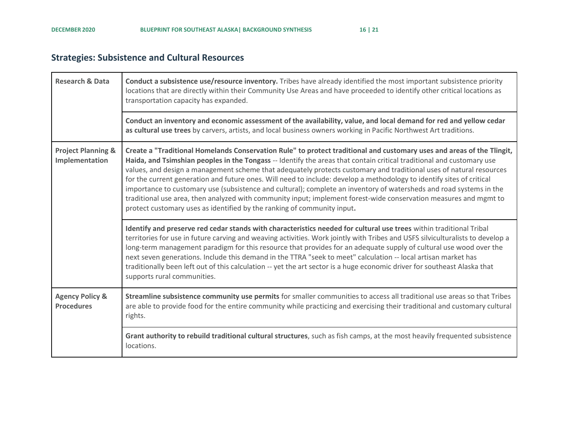### **Strategies: Subsistence and Cultural Resources**

<span id="page-16-0"></span>

| <b>Research &amp; Data</b>                      | Conduct a subsistence use/resource inventory. Tribes have already identified the most important subsistence priority<br>locations that are directly within their Community Use Areas and have proceeded to identify other critical locations as<br>transportation capacity has expanded.                                                                                                                                                                                                                                                                                                                                                                                                                                                                                                                               |
|-------------------------------------------------|------------------------------------------------------------------------------------------------------------------------------------------------------------------------------------------------------------------------------------------------------------------------------------------------------------------------------------------------------------------------------------------------------------------------------------------------------------------------------------------------------------------------------------------------------------------------------------------------------------------------------------------------------------------------------------------------------------------------------------------------------------------------------------------------------------------------|
|                                                 | Conduct an inventory and economic assessment of the availability, value, and local demand for red and yellow cedar<br>as cultural use trees by carvers, artists, and local business owners working in Pacific Northwest Art traditions.                                                                                                                                                                                                                                                                                                                                                                                                                                                                                                                                                                                |
| <b>Project Planning &amp;</b><br>Implementation | Create a "Traditional Homelands Conservation Rule" to protect traditional and customary uses and areas of the Tlingit,<br>Haida, and Tsimshian peoples in the Tongass -- Identify the areas that contain critical traditional and customary use<br>values, and design a management scheme that adequately protects customary and traditional uses of natural resources<br>for the current generation and future ones. Will need to include: develop a methodology to identify sites of critical<br>importance to customary use (subsistence and cultural); complete an inventory of watersheds and road systems in the<br>traditional use area, then analyzed with community input; implement forest-wide conservation measures and mgmt to<br>protect customary uses as identified by the ranking of community input. |
|                                                 | Identify and preserve red cedar stands with characteristics needed for cultural use trees within traditional Tribal<br>territories for use in future carving and weaving activities. Work jointly with Tribes and USFS silviculturalists to develop a<br>long-term management paradigm for this resource that provides for an adequate supply of cultural use wood over the<br>next seven generations. Include this demand in the TTRA "seek to meet" calculation -- local artisan market has<br>traditionally been left out of this calculation -- yet the art sector is a huge economic driver for southeast Alaska that<br>supports rural communities.                                                                                                                                                              |
| <b>Agency Policy &amp;</b><br><b>Procedures</b> | Streamline subsistence community use permits for smaller communities to access all traditional use areas so that Tribes<br>are able to provide food for the entire community while practicing and exercising their traditional and customary cultural<br>rights.                                                                                                                                                                                                                                                                                                                                                                                                                                                                                                                                                       |
|                                                 | Grant authority to rebuild traditional cultural structures, such as fish camps, at the most heavily frequented subsistence<br>locations.                                                                                                                                                                                                                                                                                                                                                                                                                                                                                                                                                                                                                                                                               |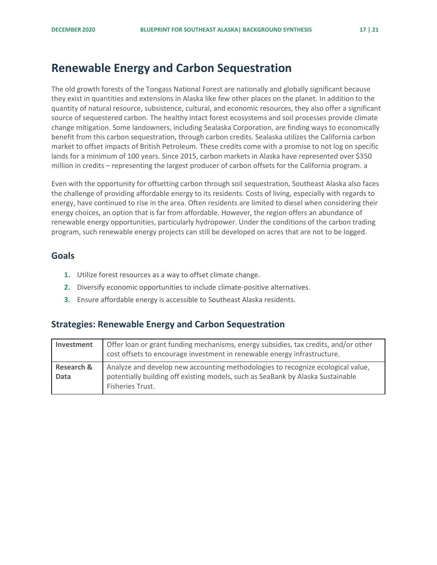### <span id="page-17-0"></span>**Renewable Energy and Carbon Sequestration**

The old growth forests of the Tongass National Forest are nationally and globally significant because they exist in quantities and extensions in Alaska like few other places on the planet. In addition to the quantity of natural resource, subsistence, cultural, and economic resources, they also offer a significant source of sequestered carbon. The healthy intact forest ecosystems and soil processes provide climate change mitigation. Some landowners, including Sealaska Corporation, are finding ways to economically benefit from this carbon sequestration, through carbon credits. Sealaska utilizes the California carbon market to offset impacts of British Petroleum. These credits come with a promise to not log on specific lands for a minimum of 100 years. Since 2015, carbon markets in Alaska have represented over \$350 million in credits – representing the largest producer of carbon offsets for the California program. a

Even with the opportunity for offsetting carbon through soil sequestration, Southeast Alaska also faces the challenge of providing affordable energy to its residents. Costs of living, especially with regards to energy, have continued to rise in the area. Often residents are limited to diesel when considering their energy choices, an option that is far from affordable. However, the region offers an abundance of renewable energy opportunities, particularly hydropower. Under the conditions of the carbon trading program, such renewable energy projects can still be developed on acres that are not to be logged.

#### <span id="page-17-1"></span>**Goals**

- **1.** Utilize forest resources as a way to offset climate change.
- **2.** Diversify economic opportunities to include climate-positive alternatives.
- **3.** Ensure affordable energy is accessible to Southeast Alaska residents.

### <span id="page-17-2"></span>**Strategies: Renewable Energy and Carbon Sequestration**

| Investment                    | Offer loan or grant funding mechanisms, energy subsidies, tax credits, and/or other<br>cost offsets to encourage investment in renewable energy infrastructure.                        |
|-------------------------------|----------------------------------------------------------------------------------------------------------------------------------------------------------------------------------------|
| <b>Research &amp;</b><br>Data | Analyze and develop new accounting methodologies to recognize ecological value,<br>potentially building off existing models, such as SeaBank by Alaska Sustainable<br>Fisheries Trust. |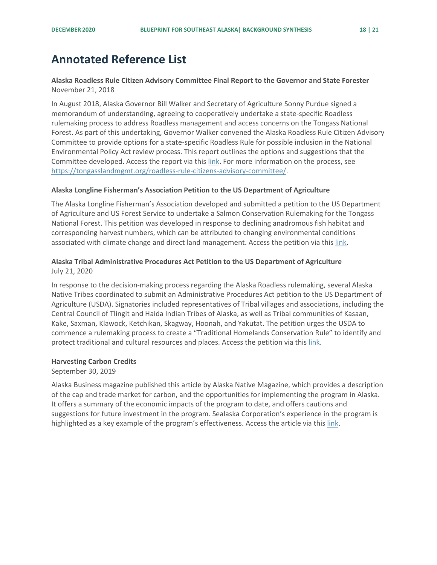### <span id="page-18-0"></span>**Annotated Reference List**

**Alaska Roadless Rule Citizen Advisory Committee Final Report to the Governor and State Forester** November 21, 2018

In August 2018, Alaska Governor Bill Walker and Secretary of Agriculture Sonny Purdue signed a memorandum of understanding, agreeing to cooperatively undertake a state-specific Roadless rulemaking process to address Roadless management and access concerns on the Tongass National Forest. As part of this undertaking, Governor Walker convened the Alaska Roadless Rule Citizen Advisory Committee to provide options for a state-specific Roadless Rule for possible inclusion in the National Environmental Policy Act review process. This report outlines the options and suggestions that the Committee developed. Access the report via thi[s link.](https://s31207.pcdn.co/wp-content/uploads/sites/6/2020/05/Alaska-Roadless-Rule-Citizen-Advisory-Committee-Final-Report_11.21.2018-1.pdf) For more information on the process, see [https://tongasslandmgmt.org/roadless-rule-citizens-advisory-committee/.](https://tongasslandmgmt.org/roadless-rule-citizens-advisory-committee/)

#### **Alaska Longline Fisherman's Association Petition to the US Department of Agriculture**

The Alaska Longline Fisherman's Association developed and submitted a petition to the US Department of Agriculture and US Forest Service to undertake a Salmon Conservation Rulemaking for the Tongass National Forest. This petition was developed in response to declining anadromous fish habitat and corresponding harvest numbers, which can be attributed to changing environmental conditions associated with climate change and direct land management. Access the petition via thi[s link.](https://static1.squarespace.com/static/563cfe4fe4b0b371c8422a54/t/5fa03f9c971f024a9f6b286b/1604337568515/ALFA+Petition+for+salmon+conservation+rulemaking.pdf)

#### **Alaska Tribal Administrative Procedures Act Petition to the US Department of Agriculture**  July 21, 2020

In response to the decision-making process regarding the Alaska Roadless rulemaking, several Alaska Native Tribes coordinated to submit an Administrative Procedures Act petition to the US Department of Agriculture (USDA). Signatories included representatives of Tribal villages and associations, including the Central Council of Tlingit and Haida Indian Tribes of Alaska, as well as Tribal communities of Kasaan, Kake, Saxman, Klawock, Ketchikan, Skagway, Hoonah, and Yakutat. The petition urges the USDA to commence a rulemaking process to create a "Traditional Homelands Conservation Rule" to identify and protect traditional and cultural resources and places. Access the petition via thi[s link.](https://s3-us-west-2.amazonaws.com/ktoo/2020/07/FINAL-Southeast-Tribes-APA-Petition-7-17-2020-Nine-Tribe-Signatures.pdf)

#### **Harvesting Carbon Credits**

September 30, 2019

Alaska Business magazine published this article by Alaska Native Magazine, which provides a description of the cap and trade market for carbon, and the opportunities for implementing the program in Alaska. It offers a summary of the economic impacts of the program to date, and offers cautions and suggestions for future investment in the program. Sealaska Corporation's experience in the program is highlighted as a key example of the program's effectiveness. Access the article via this [link.](https://www.akbizmag.com/industry/alaska-native/harvesting-carbon-credits/)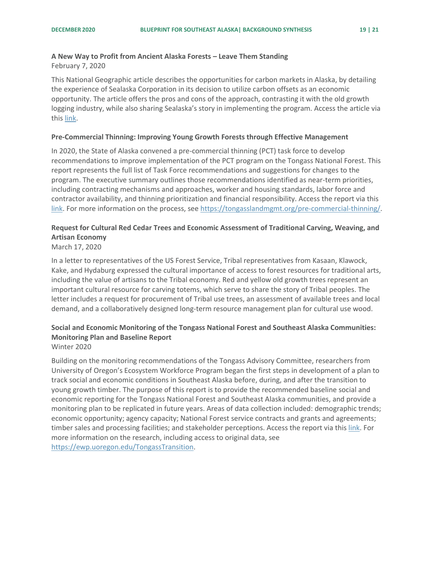### **A New Way to Profit from Ancient Alaska Forests – Leave Them Standing**

February 7, 2020

This National Geographic article describes the opportunities for carbon markets in Alaska, by detailing the experience of Sealaska Corporation in its decision to utilize carbon offsets as an economic opportunity. The article offers the pros and cons of the approach, contrasting it with the old growth logging industry, while also sharing Sealaska's story in implementing the program. Access the article via this [link.](https://www.nationalgeographic.com/science/2020/02/new-way-to-profit-from-ancient-alaskan-forests-leave-them-standing/)

#### **Pre-Commercial Thinning: Improving Young Growth Forests through Effective Management**

In 2020, the State of Alaska convened a pre-commercial thinning (PCT) task force to develop recommendations to improve implementation of the PCT program on the Tongass National Forest. This report represents the full list of Task Force recommendations and suggestions for changes to the program. The executive summary outlines those recommendations identified as near-term priorities, including contracting mechanisms and approaches, worker and housing standards, labor force and contractor availability, and thinning prioritization and financial responsibility. Access the report via this [link.](https://s31207.pcdn.co/wp-content/uploads/sites/6/2020/10/PCT-Recommendations-Report.pdf) For more information on the process, see [https://tongasslandmgmt.org/pre-commercial-thinning/.](https://tongasslandmgmt.org/pre-commercial-thinning/)

### **Request for Cultural Red Cedar Trees and Economic Assessment of Traditional Carving, Weaving, and Artisan Economy**

#### March 17, 2020

In a letter to representatives of the US Forest Service, Tribal representatives from Kasaan, Klawock, Kake, and Hydaburg expressed the cultural importance of access to forest resources for traditional arts, including the value of artisans to the Tribal economy. Red and yellow old growth trees represent an important cultural resource for carving totems, which serve to share the story of Tribal peoples. The letter includes a request for procurement of Tribal use trees, an assessment of available trees and local demand, and a collaboratively designed long-term resource management plan for cultural use wood.

#### **Social and Economic Monitoring of the Tongass National Forest and Southeast Alaska Communities: Monitoring Plan and Baseline Report**  Winter 2020

Building on the monitoring recommendations of the Tongass Advisory Committee, researchers from University of Oregon's Ecosystem Workforce Program began the first steps in development of a plan to track social and economic conditions in Southeast Alaska before, during, and after the transition to young growth timber. The purpose of this report is to provide the recommended baseline social and economic reporting for the Tongass National Forest and Southeast Alaska communities, and provide a monitoring plan to be replicated in future years. Areas of data collection included: demographic trends; economic opportunity; agency capacity; National Forest service contracts and grants and agreements; timber sales and processing facilities; and stakeholder perceptions. Access the report via this [link.](https://ewp.uoregon.edu/sites/ewp.uoregon.edu/files/WP_98.pdf) For more information on the research, including access to original data, see [https://ewp.uoregon.edu/TongassTransition.](https://ewp.uoregon.edu/TongassTransition)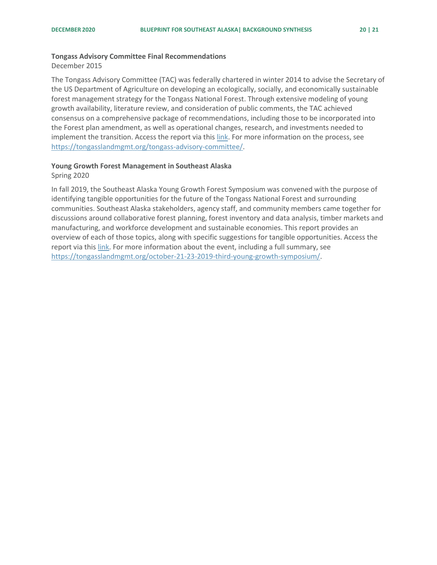December 2015

The Tongass Advisory Committee (TAC) was federally chartered in winter 2014 to advise the Secretary of the US Department of Agriculture on developing an ecologically, socially, and economically sustainable forest management strategy for the Tongass National Forest. Through extensive modeling of young growth availability, literature review, and consideration of public comments, the TAC achieved consensus on a comprehensive package of recommendations, including those to be incorporated into the Forest plan amendment, as well as operational changes, research, and investments needed to implement the transition. Access the report via this [link.](https://s31207.pcdn.co/wp-content/uploads/sites/6/2019/11/TAC-Final-Recommendations.pdf) For more information on the process, see [https://tongasslandmgmt.org/tongass-advisory-committee/.](https://tongasslandmgmt.org/tongass-advisory-committee/)

#### **Young Growth Forest Management in Southeast Alaska**

Spring 2020

In fall 2019, the Southeast Alaska Young Growth Forest Symposium was convened with the purpose of identifying tangible opportunities for the future of the Tongass National Forest and surrounding communities. Southeast Alaska stakeholders, agency staff, and community members came together for discussions around collaborative forest planning, forest inventory and data analysis, timber markets and manufacturing, and workforce development and sustainable economies. This report provides an overview of each of those topics, along with specific suggestions for tangible opportunities. Access the report via this [link.](https://s31207.pcdn.co/wp-content/uploads/sites/6/2020/04/YG-Forest-Management-Briefing-Paper-2020.pdf) For more information about the event, including a full summary, see [https://tongasslandmgmt.org/october-21-23-2019-third-young-growth-symposium/.](https://tongasslandmgmt.org/october-21-23-2019-third-young-growth-symposium/)